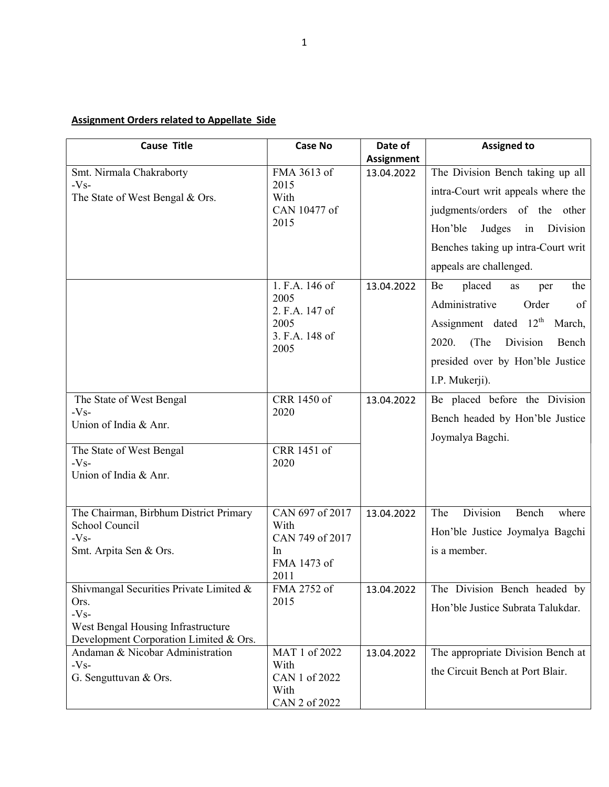## Assignment Orders related to Appellate Side

| <b>Cause Title</b>                                                           | <b>Case No</b>          | Date of           | <b>Assigned to</b>                       |
|------------------------------------------------------------------------------|-------------------------|-------------------|------------------------------------------|
|                                                                              |                         | <b>Assignment</b> |                                          |
| Smt. Nirmala Chakraborty                                                     | FMA 3613 of             | 13.04.2022        | The Division Bench taking up all         |
| $-Vs-$<br>The State of West Bengal & Ors.                                    | 2015<br>With            |                   | intra-Court writ appeals where the       |
|                                                                              | CAN 10477 of            |                   | judgments/orders of the other            |
|                                                                              | 2015                    |                   | Judges<br>Hon'ble<br>Division<br>in      |
|                                                                              |                         |                   | Benches taking up intra-Court writ       |
|                                                                              |                         |                   | appeals are challenged.                  |
|                                                                              | 1. F.A. 146 of          | 13.04.2022        | placed<br>Be<br>the<br>as<br>per         |
|                                                                              | 2005<br>2. F.A. 147 of  |                   | Administrative<br>Order<br>of            |
|                                                                              | 2005                    |                   | Assignment dated 12 <sup>th</sup> March, |
|                                                                              | 3. F.A. 148 of<br>2005  |                   | 2020.<br>(The<br>Division<br>Bench       |
|                                                                              |                         |                   | presided over by Hon'ble Justice         |
|                                                                              |                         |                   | I.P. Mukerji).                           |
| The State of West Bengal                                                     | CRR 1450 of             | 13.04.2022        | Be placed before the Division            |
| $-Vs-$<br>Union of India & Anr.                                              | 2020                    |                   | Bench headed by Hon'ble Justice          |
|                                                                              |                         |                   | Joymalya Bagchi.                         |
| The State of West Bengal<br>$-Vs-$                                           | CRR 1451 of<br>2020     |                   |                                          |
| Union of India & Anr.                                                        |                         |                   |                                          |
|                                                                              |                         |                   |                                          |
| The Chairman, Birbhum District Primary                                       | CAN 697 of 2017         | 13.04.2022        | Division<br>The<br>Bench<br>where        |
| School Council<br>$-Vs-$                                                     | With<br>CAN 749 of 2017 |                   | Hon'ble Justice Joymalya Bagchi          |
| Smt. Arpita Sen & Ors.                                                       | In                      |                   | is a member.                             |
|                                                                              | FMA 1473 of             |                   |                                          |
|                                                                              | 2011                    |                   |                                          |
| Shivmangal Securities Private Limited &<br>Ors.                              | FMA 2752 of<br>2015     | 13.04.2022        | The Division Bench headed by             |
| $-Vs-$                                                                       |                         |                   | Hon'ble Justice Subrata Talukdar.        |
| West Bengal Housing Infrastructure<br>Development Corporation Limited & Ors. |                         |                   |                                          |
| Andaman & Nicobar Administration                                             | MAT 1 of 2022           | 13.04.2022        | The appropriate Division Bench at        |
| $-Vs-$                                                                       | With                    |                   | the Circuit Bench at Port Blair.         |
| G. Senguttuvan & Ors.                                                        | CAN 1 of 2022<br>With   |                   |                                          |
|                                                                              | CAN 2 of 2022           |                   |                                          |